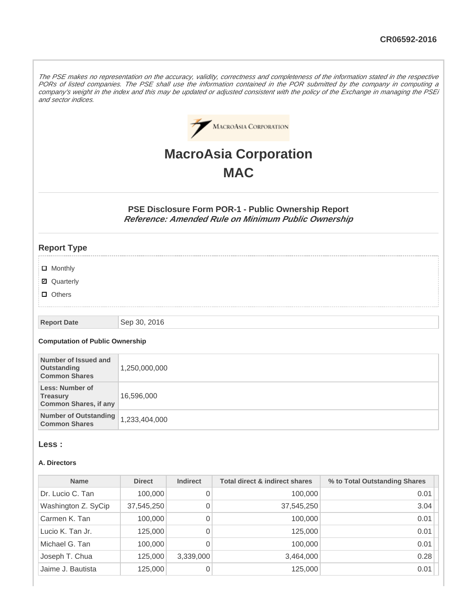The PSE makes no representation on the accuracy, validity, correctness and completeness of the information stated in the respective PORs of listed companies. The PSE shall use the information contained in the POR submitted by the company in computing a company's weight in the index and this may be updated or adjusted consistent with the policy of the Exchange in managing the PSEi and sector indices.



# **MacroAsia Corporation MAC**

**PSE Disclosure Form POR-1 - Public Ownership Report Reference: Amended Rule on Minimum Public Ownership**

### **Report Type**

- **D** Monthly
- Quarterly
- **D** Others

**Report Date** Sep 30, 2016

#### **Computation of Public Ownership**

| Number of Issued and<br>Outstanding<br><b>Common Shares</b>        | 1,250,000,000 |
|--------------------------------------------------------------------|---------------|
| Less: Number of<br><b>Treasury</b><br><b>Common Shares, if any</b> | 16,596,000    |
| <b>Number of Outstanding</b><br><b>Common Shares</b>               | 1,233,404,000 |

#### **Less :**

#### **A. Directors**

| <b>Name</b>         | <b>Direct</b> | <b>Indirect</b> | <b>Total direct &amp; indirect shares</b> | % to Total Outstanding Shares |
|---------------------|---------------|-----------------|-------------------------------------------|-------------------------------|
| Dr. Lucio C. Tan    | 100,000       | 0               | 100,000                                   | 0.01                          |
| Washington Z. SyCip | 37,545,250    | 0               | 37,545,250                                | 3.04                          |
| Carmen K. Tan       | 100,000       | 0               | 100,000                                   | 0.01                          |
| Lucio K. Tan Jr.    | 125,000       | 0               | 125,000                                   | 0.01                          |
| Michael G. Tan      | 100,000       | 0               | 100,000                                   | 0.01                          |
| Joseph T. Chua      | 125,000       | 3,339,000       | 3,464,000                                 | 0.28                          |
| Jaime J. Bautista   | 125,000       | 0               | 125,000                                   | 0.01                          |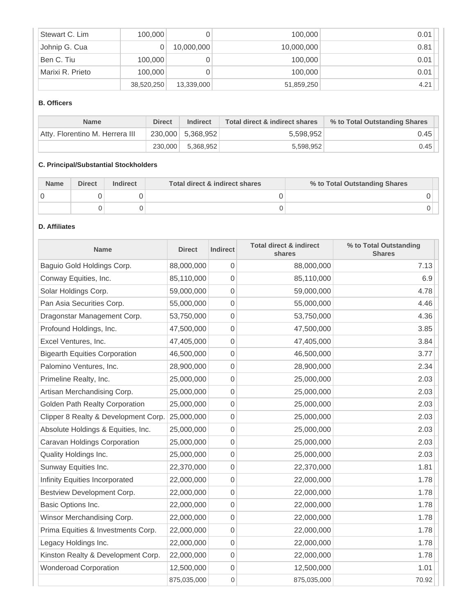| Stewart C. Lim   | 100,000    |            | 100,000    | 0.01 |
|------------------|------------|------------|------------|------|
| Johnip G. Cua    |            | 10,000,000 | 10,000,000 | 0.81 |
| Ben C. Tiu       | 100,000    |            | 100,000    | 0.01 |
| Marixi R. Prieto | 100,000    |            | 100,000    | 0.01 |
|                  | 38,520,250 | 13,339,000 | 51,859,250 | 4.21 |

### **B. Officers**

| <b>Name</b>                     | <b>Direct</b> | <b>Indirect</b>     | Total direct & indirect shares | % to Total Outstanding Shares |
|---------------------------------|---------------|---------------------|--------------------------------|-------------------------------|
| Atty, Florentino M. Herrera III |               | $230,000$ 5,368,952 | 5,598,952                      | 0.45                          |
|                                 | 230,000       | 5.368.952           | 5.598.952                      | 0.45                          |

# **C. Principal/Substantial Stockholders**

| <b>Name</b> | <b>Direct</b> | Indirect | Total direct & indirect shares | % to Total Outstanding Shares |
|-------------|---------------|----------|--------------------------------|-------------------------------|
|             |               |          |                                |                               |
|             |               |          |                                |                               |

# **D. Affiliates**

| <b>Name</b>                           | <b>Direct</b> | <b>Indirect</b>  | <b>Total direct &amp; indirect</b><br>shares | % to Total Outstanding<br><b>Shares</b> |
|---------------------------------------|---------------|------------------|----------------------------------------------|-----------------------------------------|
| Baguio Gold Holdings Corp.            | 88,000,000    | 0                | 88,000,000                                   | 7.13                                    |
| Conway Equities, Inc.                 | 85,110,000    | 0                | 85,110,000                                   | 6.9                                     |
| Solar Holdings Corp.                  | 59,000,000    | 0                | 59,000,000                                   | 4.78                                    |
| Pan Asia Securities Corp.             | 55,000,000    | 0                | 55,000,000                                   | 4.46                                    |
| Dragonstar Management Corp.           | 53,750,000    | 0                | 53,750,000                                   | 4.36                                    |
| Profound Holdings, Inc.               | 47,500,000    | 0                | 47,500,000                                   | 3.85                                    |
| Excel Ventures, Inc.                  | 47,405,000    | 0                | 47,405,000                                   | 3.84                                    |
| <b>Bigearth Equities Corporation</b>  | 46,500,000    | 0                | 46,500,000                                   | 3.77                                    |
| Palomino Ventures, Inc.               | 28,900,000    | 0                | 28,900,000                                   | 2.34                                    |
| Primeline Realty, Inc.                | 25,000,000    | 0                | 25,000,000                                   | 2.03                                    |
| Artisan Merchandising Corp.           | 25,000,000    | 0                | 25,000,000                                   | 2.03                                    |
| <b>Golden Path Realty Corporation</b> | 25,000,000    | 0                | 25,000,000                                   | 2.03                                    |
| Clipper 8 Realty & Development Corp.  | 25,000,000    | 0                | 25,000,000                                   | 2.03                                    |
| Absolute Holdings & Equities, Inc.    | 25,000,000    | 0                | 25,000,000                                   | 2.03                                    |
| Caravan Holdings Corporation          | 25,000,000    | 0                | 25,000,000                                   | 2.03                                    |
| Quality Holdings Inc.                 | 25,000,000    | 0                | 25,000,000                                   | 2.03                                    |
| Sunway Equities Inc.                  | 22,370,000    | 0                | 22,370,000                                   | 1.81                                    |
| Infinity Equities Incorporated        | 22,000,000    | 0                | 22,000,000                                   | 1.78                                    |
| Bestview Development Corp.            | 22,000,000    | 0                | 22,000,000                                   | 1.78                                    |
| Basic Options Inc.                    | 22,000,000    | 0                | 22,000,000                                   | 1.78                                    |
| Winsor Merchandising Corp.            | 22,000,000    | $\mathbf 0$      | 22,000,000                                   | 1.78                                    |
| Prima Equities & Investments Corp.    | 22,000,000    | 0                | 22,000,000                                   | 1.78                                    |
| Legacy Holdings Inc.                  | 22,000,000    | 0                | 22,000,000                                   | 1.78                                    |
| Kinston Realty & Development Corp.    | 22,000,000    | 0                | 22,000,000                                   | 1.78                                    |
| <b>Wonderoad Corporation</b>          | 12,500,000    | 0                | 12,500,000                                   | 1.01                                    |
|                                       | 875,035,000   | $\boldsymbol{0}$ | 875,035,000                                  | 70.92                                   |